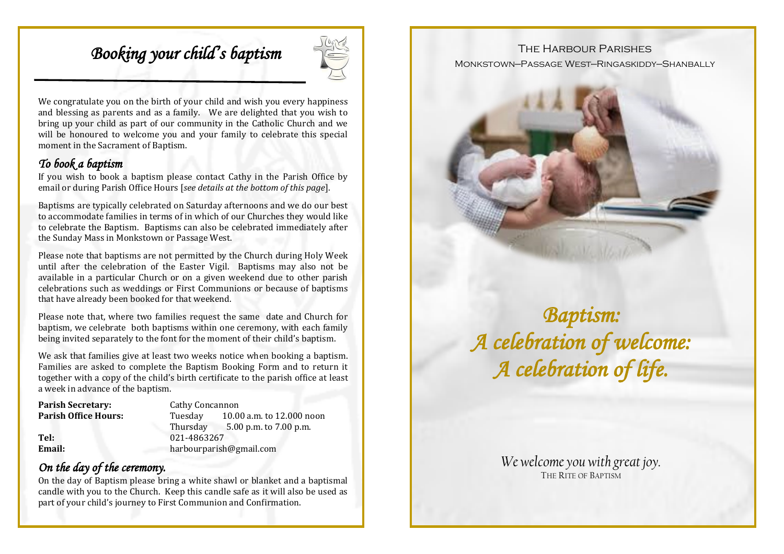# *Booking your child's baptism*



We congratulate you on the birth of your child and wish you every happiness and blessing as parents and as a family. We are delighted that you wish to bring up your child as part of our community in the Catholic Church and we will be honoured to welcome you and your family to celebrate this special moment in the Sacrament of Baptism.

#### *To book a baptism*

If you wish to book a baptism please contact Cathy in the Parish Office by email or during Parish Office Hours [*see details at the bottom of this page*].

Baptisms are typically celebrated on Saturday afternoons and we do our best to accommodate families in terms of in which of our Churches they would like to celebrate the Baptism. Baptisms can also be celebrated immediately after the Sunday Mass in Monkstown or Passage West.

Please note that baptisms are not permitted by the Church during Holy Week until after the celebration of the Easter Vigil. Baptisms may also not be available in a particular Church or on a given weekend due to other parish celebrations such as weddings or First Communions or because of baptisms that have already been booked for that weekend.

Please note that, where two families request the same date and Church for baptism, we celebrate both baptisms within one ceremony, with each family being invited separately to the font for the moment of their child's baptism.

We ask that families give at least two weeks notice when booking a baptism. Families are asked to complete the Baptism Booking Form and to return it together with a copy of the child's birth certificate to the parish office at least a week in advance of the baptism.

| <b>Parish Secretary:</b>    | Cathy Concannon         |                           |  |
|-----------------------------|-------------------------|---------------------------|--|
| <b>Parish Office Hours:</b> | Tuesdav                 | 10.00 a.m. to 12.000 noon |  |
|                             | Thursday                | $5.00$ p.m. to 7.00 p.m.  |  |
| Tel:                        | 021-4863267             |                           |  |
| Email:                      | harbourparish@gmail.com |                           |  |

### *On the day of the ceremony.*

On the day of Baptism please bring a white shawl or blanket and a baptismal candle with you to the Church. Keep this candle safe as it will also be used as part of your child's journey to First Communion and Confirmation.

#### THE HARBOUR PARISHES

Monkstown—Passage West—Ringaskiddy—Shanbally



*Baptism: A celebration of welcome: A celebration of life.* 

> *We welcome you with great joy.*  THE RITE OF BAPTISM